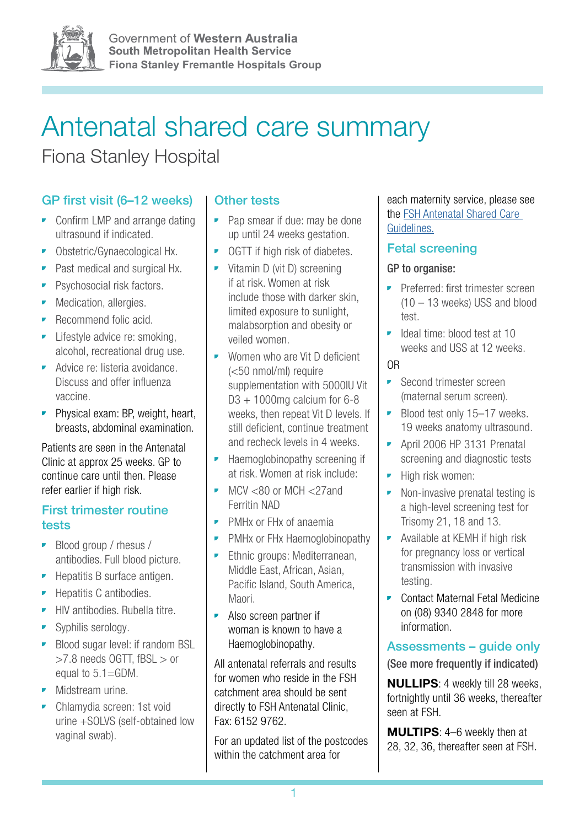

Government of Western Australia **South Metropolitan Health Service Fiona Stanley Fremantle Hospitals Group**

# Antenatal shared care summary

Fiona Stanley Hospital

# GP first visit (6–12 weeks)

- Confirm LMP and arrange dating ultrasound if indicated.
- Obstetric/Gynaecological Hx.
- Past medical and surgical Hx.
- Psychosocial risk factors.
- Medication, allergies.
- Recommend folic acid.
- **•** Lifestyle advice re: smoking, alcohol, recreational drug use.
- Advice re: listeria avoidance. Discuss and offer influenza vaccine.
- Physical exam: BP, weight, heart, breasts, abdominal examination.

Patients are seen in the Antenatal Clinic at approx 25 weeks. GP to continue care until then. Please refer earlier if high risk.

#### First trimester routine tests

- Blood group / rhesus / antibodies. Full blood picture.
- Hepatitis B surface antigen.
- Hepatitis C antibodies.
- HIV antibodies. Rubella titre.
- Syphilis serology.
- Blood sugar level: if random BSL >7.8 needs OGTT, fBSL > or equal to 5.1=GDM.
- Midstream urine.
- Chlamydia screen: 1st void urine +SOLVS (self-obtained low vaginal swab).

#### Other tests

- Pap smear if due: may be done up until 24 weeks gestation.
- OGTT if high risk of diabetes.
- Vitamin D (vit D) screening if at risk. Women at risk include those with darker skin, limited exposure to sunlight, malabsorption and obesity or veiled women.
- Women who are Vit D deficient (<50 nmol/ml) require supplementation with 5000IU Vit  $D3 + 1000$  mg calcium for 6-8 weeks, then repeat Vit D levels. If still deficient, continue treatment and recheck levels in 4 weeks.
- Haemoglobinopathy screening if at risk. Women at risk include:
- $\blacksquare$  MCV <80 or MCH <27and Ferritin NAD
- PMHx or FHx of anaemia
- PMHx or FHx Haemoglobinopathy
- **•** Ethnic groups: Mediterranean, Middle East, African, Asian, Pacific Island, South America, Maori.
- Also screen partner if woman is known to have a Haemoglobinopathy.

All antenatal referrals and results for women who reside in the FSH catchment area should be sent directly to FSH Antenatal Clinic, Fax: 6152 9762.

For an updated list of the postcodes within the catchment area for

each maternity service, please see the [FSH Antenatal Shared Care](https://www.fsh.health.wa.gov.au/~/media/HSPs/SMHS/Hospitals/FSH/Files/PDF/FSH-Antenatal-Shared-Care-Guidelines-for-GPs.pdf)  [Guidelines.](https://www.fsh.health.wa.gov.au/~/media/HSPs/SMHS/Hospitals/FSH/Files/PDF/FSH-Antenatal-Shared-Care-Guidelines-for-GPs.pdf)

#### Fetal screening

#### GP to organise:

- Preferred: first trimester screen (10 – 13 weeks) USS and blood test.
- Ideal time: blood test at 10 weeks and USS at 12 weeks.

#### OR

- Second trimester screen (maternal serum screen).
- **•** Blood test only 15–17 weeks. 19 weeks anatomy ultrasound.
- April 2006 HP 3131 Prenatal screening and diagnostic tests
- High risk women:
- Non-invasive prenatal testing is a high-level screening test for Trisomy 21, 18 and 13.
- Available at KEMH if high risk for pregnancy loss or vertical transmission with invasive testing.
- Contact Maternal Fetal Medicine on (08) 9340 2848 for more information.

## Assessments – guide only

(See more frequently if indicated)

NULLIPS: 4 weekly till 28 weeks, fortnightly until 36 weeks, thereafter seen at FSH.

MULTIPS: 4–6 weekly then at 28, 32, 36, thereafter seen at FSH.